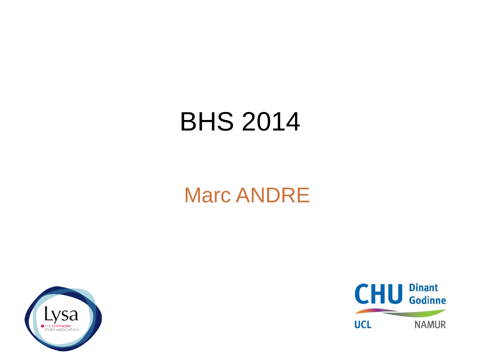## BHS 2014

## Marc ANDRE



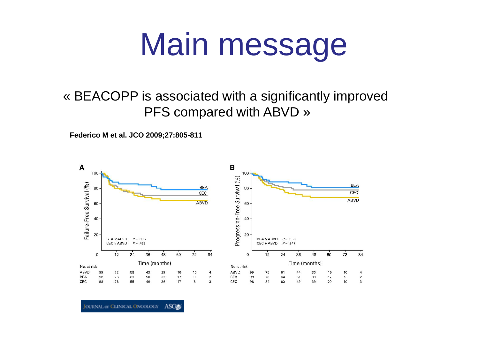## Main message

#### « BEACOPP is associated with a significantly improved PFS compared with ABVD »

**Federico M et al. JCO 2009;27:805-811**



**JOURNAL OF CLINICAL ONCOLOGY ASOC**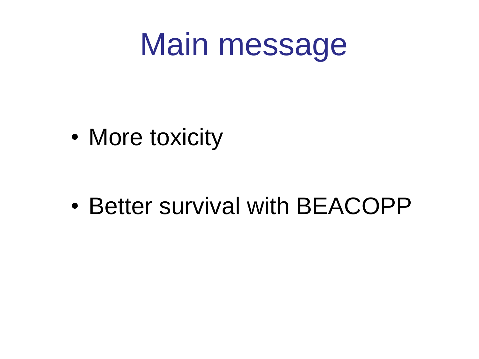## Main message

• More toxicity

• Better survival with BEACOPP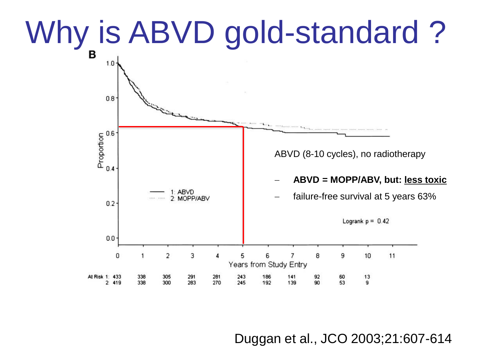# Why is ABVD gold-standard ?



Duggan et al., JCO 2003;21:607-614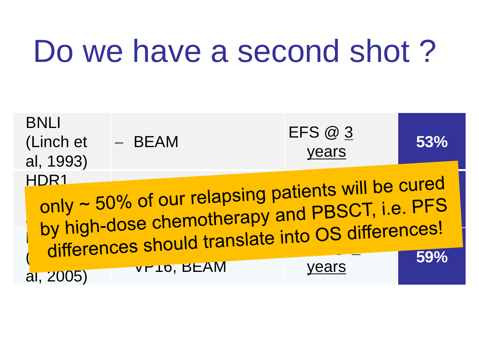# Do we have a second shot?

| <b>BNLI</b><br>(Linch et<br>al, 1993)                                                                                                                                        | - BEAM      | EFS @ 3<br>years | 53% |  |  |
|------------------------------------------------------------------------------------------------------------------------------------------------------------------------------|-------------|------------------|-----|--|--|
| HDR <sub>1</sub><br>only ~ 50% of our relapsing patients will be cured<br>by high-dose chemotherapy and PBSCT, i.e. PFS<br>differences should translate into OS differences! |             |                  |     |  |  |
| al, 2005)                                                                                                                                                                    | VE 10, BEAM | vears            | 59% |  |  |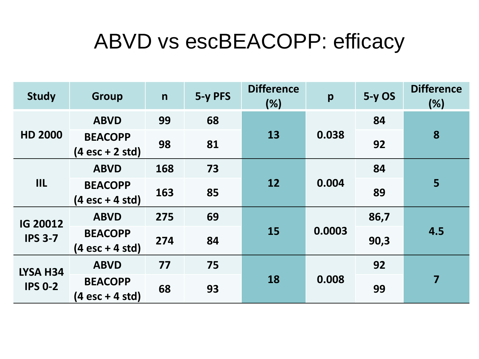### ABVD vs escBEACOPP: efficacy

| <b>Study</b>                      | <b>Group</b>                                        | $\mathsf{n}$ | 5-y PFS | <b>Difference</b><br>(%) | p      | $5-y$ OS | <b>Difference</b><br>(%) |
|-----------------------------------|-----------------------------------------------------|--------------|---------|--------------------------|--------|----------|--------------------------|
| <b>HD 2000</b>                    | <b>ABVD</b>                                         | 99           | 68      |                          |        | 84       |                          |
|                                   | <b>BEACOPP</b><br>$(4 \text{ esc} + 2 \text{ std})$ | 98           | 81      | 13                       | 0.038  | 92       | 8                        |
| III                               | <b>ABVD</b>                                         | 168          | 73      | 12                       |        | 84       | 5                        |
|                                   | <b>BEACOPP</b><br>$(4 \text{ esc} + 4 \text{ std})$ | 163          | 85      |                          | 0.004  | 89       |                          |
| <b>IG 20012</b><br><b>IPS 3-7</b> | <b>ABVD</b>                                         | 275          | 69      | 15                       | 0.0003 | 86,7     | 4.5                      |
|                                   | <b>BEACOPP</b><br>$(4 \text{ esc} + 4 \text{ std})$ | 274          | 84      |                          |        | 90,3     |                          |
| LYSA H34<br><b>IPS 0-2</b>        | <b>ABVD</b>                                         | 77           | 75      |                          |        | 92       |                          |
|                                   | <b>BEACOPP</b><br>$(4 \text{ esc} + 4 \text{ std})$ | 68           | 93      | 18                       | 0.008  | 99       | $\overline{7}$           |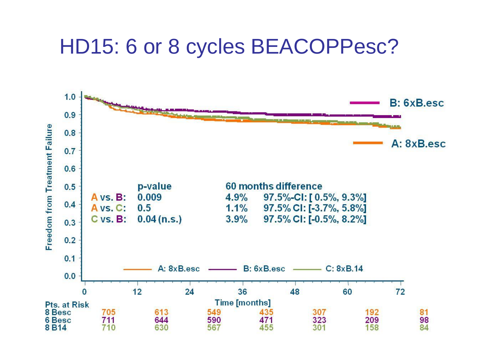### HD15: 6 or 8 cycles BEACOPPesc?

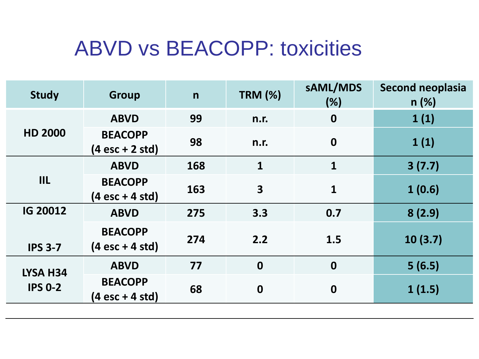## ABVD vs BEACOPP: toxicities

| <b>Study</b>               | <b>Group</b>                                        | $\mathsf{n}$ | <b>TRM (%)</b>          | sAML/MDS<br>(%)  | <b>Second neoplasia</b><br>n(%) |
|----------------------------|-----------------------------------------------------|--------------|-------------------------|------------------|---------------------------------|
| <b>HD 2000</b>             | <b>ABVD</b>                                         | 99           | n.r.                    | $\boldsymbol{0}$ | 1(1)                            |
|                            | <b>BEACOPP</b><br>$(4 \text{ esc} + 2 \text{ std})$ | 98           | n.r.                    | $\boldsymbol{0}$ | 1(1)                            |
| III                        | <b>ABVD</b>                                         | 168          | $\mathbf{1}$            | $\mathbf{1}$     | 3(7.7)                          |
|                            | <b>BEACOPP</b><br>$(4 \text{ esc} + 4 \text{ std})$ | 163          | $\overline{\mathbf{3}}$ | $\mathbf{1}$     | 1(0.6)                          |
| <b>IG 20012</b>            | <b>ABVD</b>                                         | 275          | 3.3                     | 0.7              | 8(2.9)                          |
| <b>IPS 3-7</b>             | <b>BEACOPP</b><br>$(4 \text{ esc} + 4 \text{ std})$ | 274          | 2.2                     | 1.5              | 10(3.7)                         |
| LYSA H34<br><b>IPS 0-2</b> | <b>ABVD</b>                                         | 77           | $\boldsymbol{0}$        | $\boldsymbol{0}$ | 5(6.5)                          |
|                            | <b>BEACOPP</b><br>(4 esc + 4 std)                   | 68           | $\boldsymbol{0}$        | $\boldsymbol{0}$ | 1(1.5)                          |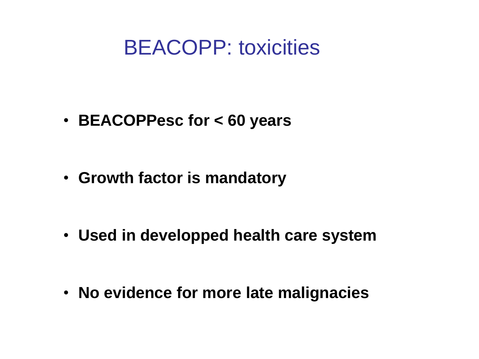### BEACOPP: toxicities

• **BEACOPPesc for < 60 years**

• **Growth factor is mandatory**

• **Used in developped health care system**

• **No evidence for more late malignacies**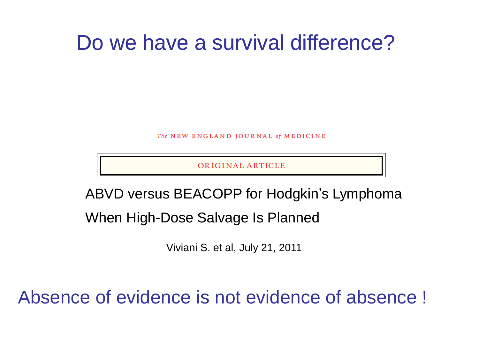### Do we have a survival difference?

The NEW ENGLAND JOURNAL of MEDICINE

ORIGINAL ARTICLE

ABVD versus BEACOPP for Hodgkin's Lymphoma

When High-Dose Salvage Is Planned

Viviani S. et al, July 21, 2011

Absence of evidence is not evidence of absence !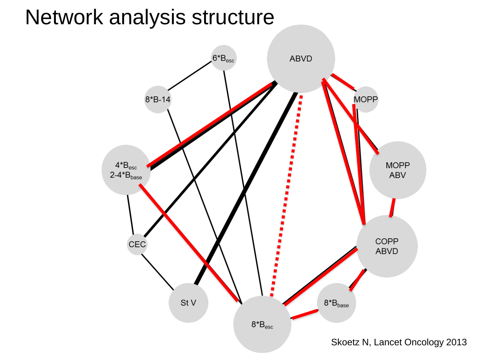### Network analysis structure

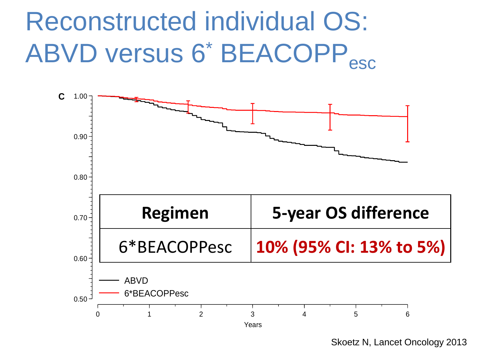## Reconstructed individual OS: ABVD versus 6<sup>\*</sup> BEACOPP<sub>esc</sub>



Skoetz N, Lancet Oncology 2013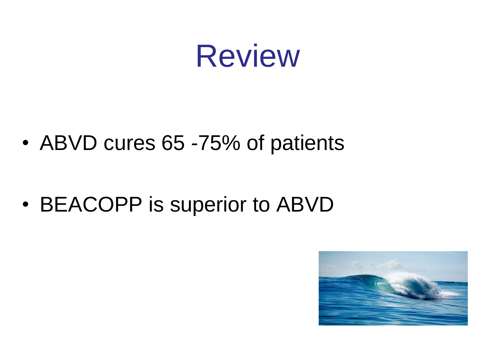

• ABVD cures 65 -75% of patients

• BEACOPP is superior to ABVD

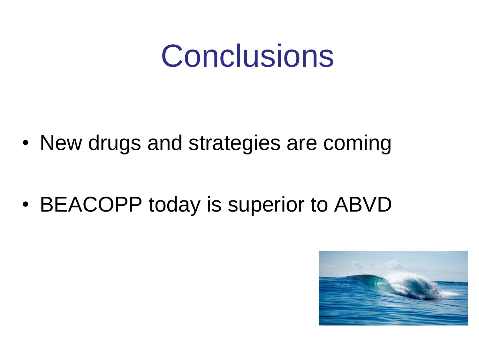## **Conclusions**

- New drugs and strategies are coming
- BEACOPP today is superior to ABVD